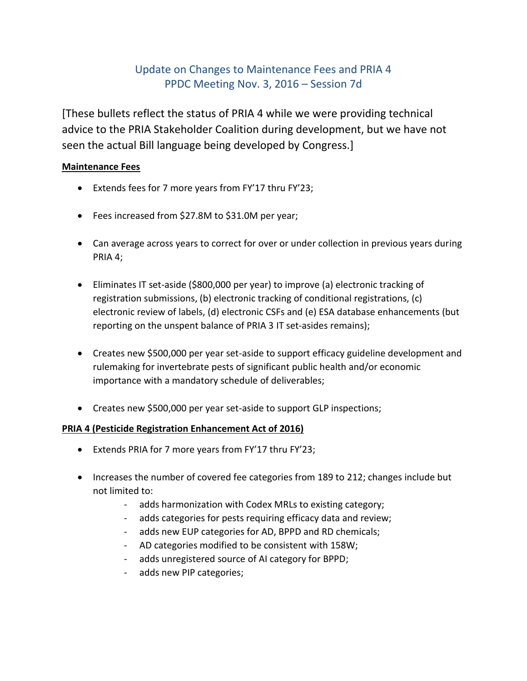## Update on Changes to Maintenance Fees and PRIA 4 PPDC Meeting Nov. 3, 2016 – Session 7d

[These bullets reflect the status of PRIA 4 while we were providing technical advice to the PRIA Stakeholder Coalition during development, but we have not seen the actual Bill language being developed by Congress.]

## **Maintenance Fees**

- Extends fees for 7 more years from FY'17 thru FY'23;
- Fees increased from \$27.8M to \$31.0M per year;
- Can average across years to correct for over or under collection in previous years during PRIA 4;
- Eliminates IT set-aside (\$800,000 per year) to improve (a) electronic tracking of registration submissions, (b) electronic tracking of conditional registrations, (c) electronic review of labels, (d) electronic CSFs and (e) ESA database enhancements (but reporting on the unspent balance of PRIA 3 IT set-asides remains);
- Creates new \$500,000 per year set-aside to support efficacy guideline development and rulemaking for invertebrate pests of significant public health and/or economic importance with a mandatory schedule of deliverables;
- Creates new \$500,000 per year set-aside to support GLP inspections;

## **PRIA 4 (Pesticide Registration Enhancement Act of 2016)**

- Extends PRIA for 7 more years from FY'17 thru FY'23;
- Increases the number of covered fee categories from 189 to 212; changes include but not limited to:
	- adds harmonization with Codex MRLs to existing category;
	- adds categories for pests requiring efficacy data and review;
	- adds new EUP categories for AD, BPPD and RD chemicals;
	- AD categories modified to be consistent with 158W;
	- adds unregistered source of AI category for BPPD;
	- adds new PIP categories;